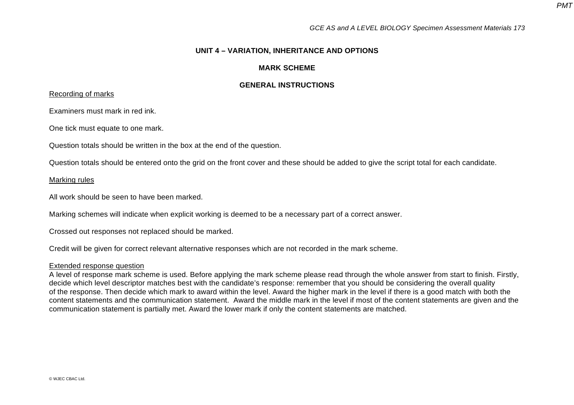## **UNIT 4 – VARIATION, INHERITANCE AND OPTIONS**

## **MARK SCHEME**

## **GENERAL INSTRUCTIONS**

## Recording of marks

Examiners must mark in red ink.

One tick must equate to one mark.

Question totals should be written in the box at the end of the question.

Question totals should be entered onto the grid on the front cover and these should be added to give the script total for each candidate.

### Marking rules

All work should be seen to have been marked.

Marking schemes will indicate when explicit working is deemed to be a necessary part of a correct answer.

Crossed out responses not replaced should be marked.

Credit will be given for correct relevant alternative responses which are not recorded in the mark scheme.

#### Extended response question

A level of response mark scheme is used. Before applying the mark scheme please read through the whole answer from start to finish. Firstly, decide which level descriptor matches best with the candidate's response: remember that you should be considering the overall quality of the response. Then decide which mark to award within the level. Award the higher mark in the level if there is a good match with both the content statements and the communication statement. Award the middle mark in the level if most of the content statements are given and the communication statement is partially met. Award the lower mark if only the content statements are matched.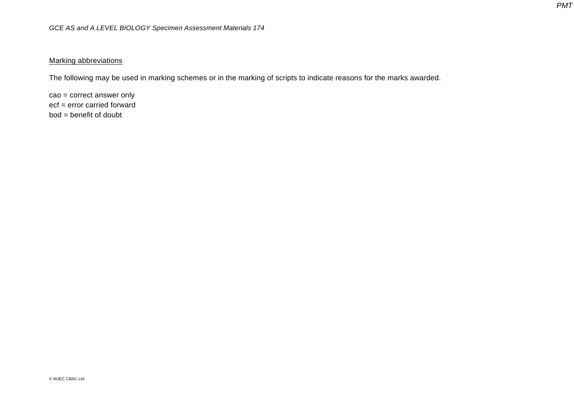## **Marking abbreviations**

The following may be used in marking schemes or in the marking of scripts to indicate reasons for the marks awarded.

cao = correct answer only ecf = error carried forward bod = benefit of doubt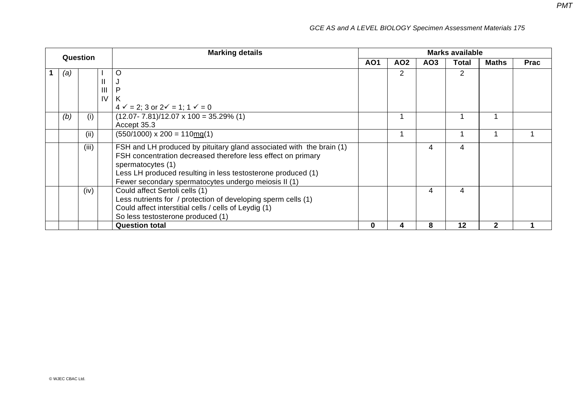| Question |       |                | <b>Marking details</b>                                                            | <b>Marks available</b> |     |                 |                |              |             |
|----------|-------|----------------|-----------------------------------------------------------------------------------|------------------------|-----|-----------------|----------------|--------------|-------------|
|          |       |                |                                                                                   | AO1                    | AO2 | AO <sub>3</sub> | Total          | <b>Maths</b> | <b>Prac</b> |
| (a)      |       |                | O                                                                                 |                        | 2   |                 | $\overline{2}$ |              |             |
|          |       | $\mathbf{I}$   | J                                                                                 |                        |     |                 |                |              |             |
|          |       | $\mathbf{III}$ | P                                                                                 |                        |     |                 |                |              |             |
|          |       | IV             | K                                                                                 |                        |     |                 |                |              |             |
|          |       |                | $4 \checkmark = 2$ ; 3 or $2 \checkmark = 1$ ; $1 \checkmark = 0$                 |                        |     |                 |                |              |             |
| (b)      | (i)   |                | $(12.07 - 7.81)/12.07 \times 100 = 35.29\%$ (1)                                   |                        |     |                 |                |              |             |
|          |       |                | Accept 35.3                                                                       |                        |     |                 |                |              |             |
|          | (i)   |                | $(550/1000) \times 200 = 110 \text{mg}(1)$                                        |                        |     |                 |                |              |             |
|          | (iii) |                | FSH and LH produced by pituitary gland associated with the brain (1)              |                        |     | 4               | 4              |              |             |
|          |       |                | FSH concentration decreased therefore less effect on primary<br>spermatocytes (1) |                        |     |                 |                |              |             |
|          |       |                | Less LH produced resulting in less testosterone produced (1)                      |                        |     |                 |                |              |             |
|          |       |                | Fewer secondary spermatocytes undergo meiosis II (1)                              |                        |     |                 |                |              |             |
|          | (iv)  |                | Could affect Sertoli cells (1)                                                    |                        |     | 4               | 4              |              |             |
|          |       |                | Less nutrients for / protection of developing sperm cells (1)                     |                        |     |                 |                |              |             |
|          |       |                | Could affect interstitial cells / cells of Leydig (1)                             |                        |     |                 |                |              |             |
|          |       |                | So less testosterone produced (1)                                                 |                        |     |                 |                |              |             |
|          |       |                | <b>Question total</b>                                                             | 0                      | 4   | 8               | 12             | 2            |             |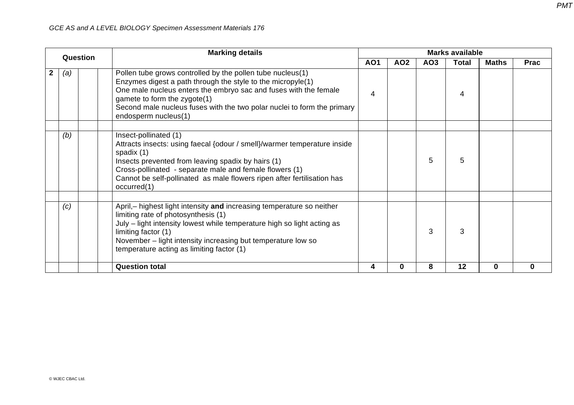|              | Question | <b>Marking details</b>                                                                                                                                                                                                                                                                                                           | <b>Marks available</b>                                                           |          |   |    |              |          |  |  |
|--------------|----------|----------------------------------------------------------------------------------------------------------------------------------------------------------------------------------------------------------------------------------------------------------------------------------------------------------------------------------|----------------------------------------------------------------------------------|----------|---|----|--------------|----------|--|--|
|              |          |                                                                                                                                                                                                                                                                                                                                  | <b>AO1</b><br><b>Total</b><br>AO <sub>2</sub><br>AO <sub>3</sub><br><b>Maths</b> |          |   |    | <b>Prac</b>  |          |  |  |
| $\mathbf{2}$ | (a)      | Pollen tube grows controlled by the pollen tube nucleus(1)<br>Enzymes digest a path through the style to the micropyle(1)<br>One male nucleus enters the embryo sac and fuses with the female<br>gamete to form the zygote(1)<br>Second male nucleus fuses with the two polar nuclei to form the primary<br>endosperm nucleus(1) | 4                                                                                |          |   | 4  |              |          |  |  |
|              | (b)      | Insect-pollinated (1)<br>Attracts insects: using faecal {odour / smell}/warmer temperature inside<br>spadix (1)<br>Insects prevented from leaving spadix by hairs (1)<br>Cross-pollinated - separate male and female flowers (1)<br>Cannot be self-pollinated as male flowers ripen after fertilisation has<br>occurred(1)       |                                                                                  |          | 5 | 5  |              |          |  |  |
|              | (c)      | April,- highest light intensity and increasing temperature so neither<br>limiting rate of photosynthesis (1)<br>July – light intensity lowest while temperature high so light acting as<br>limiting factor (1)<br>November - light intensity increasing but temperature low so<br>temperature acting as limiting factor (1)      |                                                                                  |          | 3 | 3  |              |          |  |  |
|              |          | <b>Question total</b>                                                                                                                                                                                                                                                                                                            | 4                                                                                | $\bf{0}$ | 8 | 12 | $\mathbf{0}$ | $\Omega$ |  |  |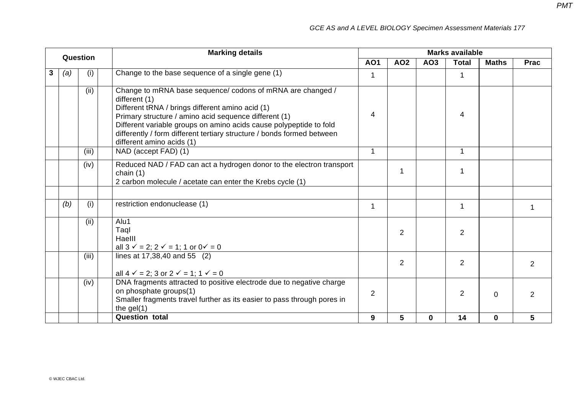|   | Question |       | <b>Marking details</b>                                                                                                                                                                                                                                                                                                                                                | <b>Marks available</b> |                |             |                |              |                |  |  |
|---|----------|-------|-----------------------------------------------------------------------------------------------------------------------------------------------------------------------------------------------------------------------------------------------------------------------------------------------------------------------------------------------------------------------|------------------------|----------------|-------------|----------------|--------------|----------------|--|--|
|   |          |       |                                                                                                                                                                                                                                                                                                                                                                       | <b>AO1</b>             | <b>AO2</b>     | AO3         | <b>Total</b>   | <b>Maths</b> | <b>Prac</b>    |  |  |
| 3 | (a)      | (i)   | Change to the base sequence of a single gene (1)                                                                                                                                                                                                                                                                                                                      | 1                      |                |             | 1              |              |                |  |  |
|   |          | (ii)  | Change to mRNA base sequence/ codons of mRNA are changed /<br>different (1)<br>Different tRNA / brings different amino acid (1)<br>Primary structure / amino acid sequence different (1)<br>Different variable groups on amino acids cause polypeptide to fold<br>differently / form different tertiary structure / bonds formed between<br>different amino acids (1) | 4                      |                |             | 4              |              |                |  |  |
|   |          | (iii) | NAD (accept FAD) (1)                                                                                                                                                                                                                                                                                                                                                  | $\mathbf{1}$           |                |             | $\mathbf 1$    |              |                |  |  |
|   |          | (iv)  | Reduced NAD / FAD can act a hydrogen donor to the electron transport<br>chain $(1)$<br>2 carbon molecule / acetate can enter the Krebs cycle (1)                                                                                                                                                                                                                      |                        |                |             |                |              |                |  |  |
|   |          |       |                                                                                                                                                                                                                                                                                                                                                                       |                        |                |             |                |              |                |  |  |
|   | (b)      | (i)   | restriction endonuclease (1)                                                                                                                                                                                                                                                                                                                                          | $\mathbf{1}$           |                |             | $\mathbf 1$    |              | 1              |  |  |
|   |          | (ii)  | Alu1<br>Taql<br>Haelll<br>all $3 \checkmark = 2$ ; $2 \checkmark = 1$ ; 1 or $0 \checkmark = 0$                                                                                                                                                                                                                                                                       |                        | $\overline{2}$ |             | $\overline{2}$ |              |                |  |  |
|   |          | (iii) | lines at 17,38,40 and 55 (2)<br>all $4 \checkmark = 2$ ; 3 or $2 \checkmark = 1$ ; $1 \checkmark = 0$                                                                                                                                                                                                                                                                 |                        | $\overline{2}$ |             | $\overline{2}$ |              | 2              |  |  |
|   |          | (iv)  | DNA fragments attracted to positive electrode due to negative charge<br>on phosphate groups(1)<br>Smaller fragments travel further as its easier to pass through pores in<br>the $gel(1)$                                                                                                                                                                             | $\overline{2}$         |                |             | 2              | $\mathbf 0$  | $\overline{2}$ |  |  |
|   |          |       | <b>Question total</b>                                                                                                                                                                                                                                                                                                                                                 | 9                      | 5              | $\mathbf 0$ | 14             | $\mathbf 0$  | 5              |  |  |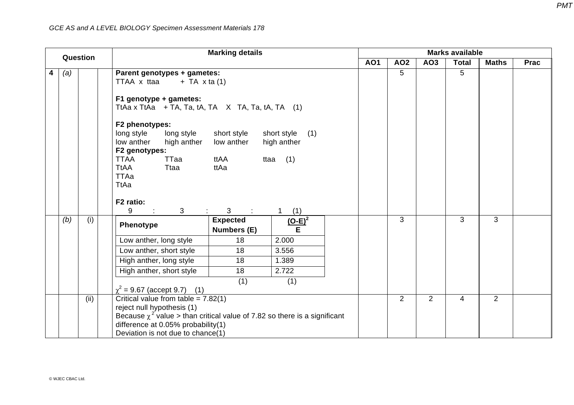|   |     | Question | <b>Marking details</b><br><b>Marks available</b>                                                                                                                                                                                                                                                                                                               |                                                |                                                         |  |            |                |                 |              |                |             |
|---|-----|----------|----------------------------------------------------------------------------------------------------------------------------------------------------------------------------------------------------------------------------------------------------------------------------------------------------------------------------------------------------------------|------------------------------------------------|---------------------------------------------------------|--|------------|----------------|-----------------|--------------|----------------|-------------|
|   |     |          |                                                                                                                                                                                                                                                                                                                                                                |                                                |                                                         |  | <b>AO1</b> | <b>AO2</b>     | AO <sub>3</sub> | <b>Total</b> | <b>Maths</b>   | <b>Prac</b> |
| 4 | (a) |          | Parent genotypes + gametes:<br>TTAA x ttaa<br>$+$ TA $\times$ ta (1)<br>F1 genotype + gametes:<br>TtAa x TtAa + TA, Ta, tA, TA $\quad$ X TA, Ta, tA, TA (1)<br>F2 phenotypes:<br>long style<br>long style<br>low anther<br>high anther<br>F2 genotypes:<br><b>TTAA</b><br>TTaa<br><b>TtAA</b><br>Ttaa<br><b>TTAa</b><br>TtAa<br>F2 ratio:<br>9<br>$\mathbf{3}$ | short style<br>low anther<br>ttAA<br>ttAa<br>3 | short style<br>(1)<br>high anther<br>(1)<br>ttaa<br>(1) |  |            | 5              |                 | 5            |                |             |
|   | (b) | (i)      | Phenotype                                                                                                                                                                                                                                                                                                                                                      | <b>Expected</b><br>Numbers (E)                 | $\frac{(O-E)^2}{E}$                                     |  |            | 3              |                 | 3            | $\mathbf{3}$   |             |
|   |     |          | Low anther, long style                                                                                                                                                                                                                                                                                                                                         | 18                                             | 2.000                                                   |  |            |                |                 |              |                |             |
|   |     |          | Low anther, short style                                                                                                                                                                                                                                                                                                                                        | 18                                             | 3.556                                                   |  |            |                |                 |              |                |             |
|   |     |          | High anther, long style                                                                                                                                                                                                                                                                                                                                        | 18                                             | 1.389                                                   |  |            |                |                 |              |                |             |
|   |     |          | High anther, short style                                                                                                                                                                                                                                                                                                                                       | 18                                             | 2.722                                                   |  |            |                |                 |              |                |             |
|   |     |          | $\chi^2$ = 9.67 (accept 9.7) (1)                                                                                                                                                                                                                                                                                                                               | (1)                                            | (1)                                                     |  |            |                |                 |              |                |             |
|   |     | (ii)     | Critical value from table = $7.82(1)$                                                                                                                                                                                                                                                                                                                          |                                                |                                                         |  |            | $\overline{2}$ | $\overline{2}$  | 4            | $\overline{2}$ |             |
|   |     |          | reject null hypothesis (1)                                                                                                                                                                                                                                                                                                                                     |                                                |                                                         |  |            |                |                 |              |                |             |
|   |     |          | Because $\chi^2$ value > than critical value of 7.82 so there is a significant                                                                                                                                                                                                                                                                                 |                                                |                                                         |  |            |                |                 |              |                |             |
|   |     |          | difference at 0.05% probability(1)<br>Deviation is not due to chance(1)                                                                                                                                                                                                                                                                                        |                                                |                                                         |  |            |                |                 |              |                |             |
|   |     |          |                                                                                                                                                                                                                                                                                                                                                                |                                                |                                                         |  |            |                |                 |              |                |             |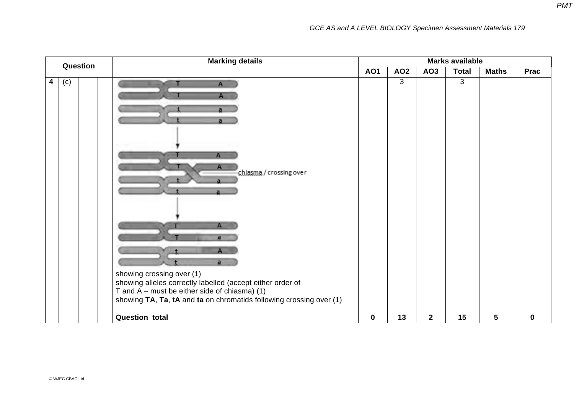| Question | <b>Marking details</b>                                                                                                                                                                                                                                          | <b>Marks available</b> |                 |                 |              |                 |             |  |  |
|----------|-----------------------------------------------------------------------------------------------------------------------------------------------------------------------------------------------------------------------------------------------------------------|------------------------|-----------------|-----------------|--------------|-----------------|-------------|--|--|
|          |                                                                                                                                                                                                                                                                 | <b>AO1</b>             | AO <sub>2</sub> | AO <sub>3</sub> | <b>Total</b> | <b>Maths</b>    | Prac        |  |  |
| (c)<br>4 | A<br>shiasma/crossing over<br>$\mathsf{A}$<br>showing crossing over (1)<br>showing alleles correctly labelled (accept either order of<br>T and $A$ – must be either side of chiasma) (1)<br>showing TA, Ta, tA and ta on chromatids following crossing over (1) |                        | $\mathbf{3}$    |                 | 3            |                 |             |  |  |
|          | <b>Question total</b>                                                                                                                                                                                                                                           | $\mathbf 0$            | 13              | $\overline{2}$  | 15           | $5\phantom{.0}$ | $\mathbf 0$ |  |  |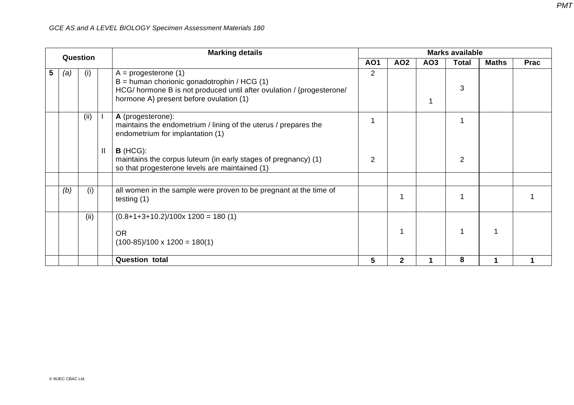|   |     | Question |               | <b>Marking details</b>                                                                                                                                                                      | <b>Marks available</b> |                 |                 |                |              |             |
|---|-----|----------|---------------|---------------------------------------------------------------------------------------------------------------------------------------------------------------------------------------------|------------------------|-----------------|-----------------|----------------|--------------|-------------|
|   |     |          |               |                                                                                                                                                                                             | <b>AO1</b>             | AO <sub>2</sub> | AO <sub>3</sub> | Total          | <b>Maths</b> | <b>Prac</b> |
| 5 | (a) | (i)      |               | $A =$ progesterone (1)<br>$B =$ human chorionic gonadotrophin / HCG (1)<br>HCG/ hormone B is not produced until after ovulation / {progesterone/<br>hormone A} present before ovulation (1) | $\overline{2}$         |                 |                 | 3              |              |             |
|   |     | (ii)     |               | A (progesterone):<br>maintains the endometrium / lining of the uterus / prepares the<br>endometrium for implantation (1)                                                                    |                        |                 |                 |                |              |             |
|   |     |          | $\mathbf{  }$ | $B$ (HCG):<br>maintains the corpus luteum (in early stages of pregnancy) (1)<br>so that progesterone levels are maintained (1)                                                              | 2                      |                 |                 | $\overline{2}$ |              |             |
|   | (b) | (i)      |               | all women in the sample were proven to be pregnant at the time of<br>testing $(1)$                                                                                                          |                        |                 |                 |                |              |             |
|   |     | (ii)     |               | $(0.8+1+3+10.2)/100x 1200 = 180(1)$                                                                                                                                                         |                        |                 |                 |                |              |             |
|   |     |          |               | <b>OR</b><br>$(100-85)/100 \times 1200 = 180(1)$                                                                                                                                            |                        |                 |                 |                |              |             |
|   |     |          |               | <b>Question total</b>                                                                                                                                                                       | 5                      | $\mathbf 2$     |                 | 8              |              |             |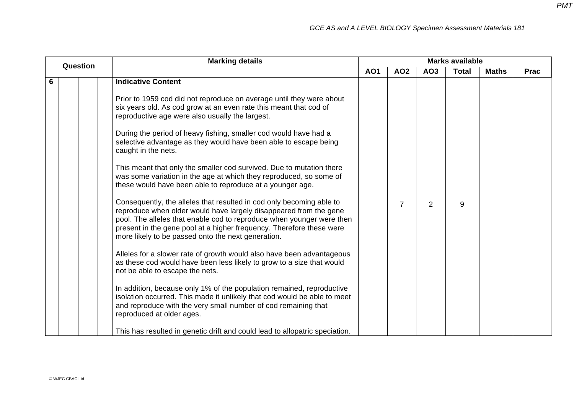|               | <b>Marking details</b><br><b>Marks available</b>                                                                                                                                                                                                                                                                                                                                                                                                                                                                                                                                                                                                                                                                                                                                                                                                                                                                                      |            |                |                |              |              |             |
|---------------|---------------------------------------------------------------------------------------------------------------------------------------------------------------------------------------------------------------------------------------------------------------------------------------------------------------------------------------------------------------------------------------------------------------------------------------------------------------------------------------------------------------------------------------------------------------------------------------------------------------------------------------------------------------------------------------------------------------------------------------------------------------------------------------------------------------------------------------------------------------------------------------------------------------------------------------|------------|----------------|----------------|--------------|--------------|-------------|
|               |                                                                                                                                                                                                                                                                                                                                                                                                                                                                                                                                                                                                                                                                                                                                                                                                                                                                                                                                       | <b>AO1</b> | <b>AO2</b>     | AO3            | <b>Total</b> | <b>Maths</b> | <b>Prac</b> |
| Question<br>6 | <b>Indicative Content</b><br>Prior to 1959 cod did not reproduce on average until they were about<br>six years old. As cod grow at an even rate this meant that cod of<br>reproductive age were also usually the largest.<br>During the period of heavy fishing, smaller cod would have had a<br>selective advantage as they would have been able to escape being<br>caught in the nets.<br>This meant that only the smaller cod survived. Due to mutation there<br>was some variation in the age at which they reproduced, so some of                                                                                                                                                                                                                                                                                                                                                                                                |            |                |                |              |              |             |
|               | these would have been able to reproduce at a younger age.<br>Consequently, the alleles that resulted in cod only becoming able to<br>reproduce when older would have largely disappeared from the gene<br>pool. The alleles that enable cod to reproduce when younger were then<br>present in the gene pool at a higher frequency. Therefore these were<br>more likely to be passed onto the next generation.<br>Alleles for a slower rate of growth would also have been advantageous<br>as these cod would have been less likely to grow to a size that would<br>not be able to escape the nets.<br>In addition, because only 1% of the population remained, reproductive<br>isolation occurred. This made it unlikely that cod would be able to meet<br>and reproduce with the very small number of cod remaining that<br>reproduced at older ages.<br>This has resulted in genetic drift and could lead to allopatric speciation. |            | $\overline{7}$ | $\overline{2}$ | 9            |              |             |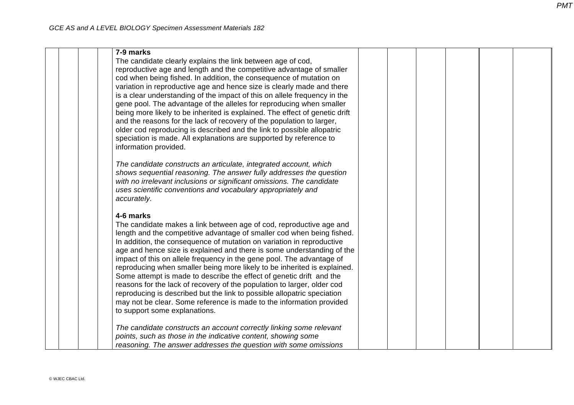| 7-9 marks                                                                   |  |  |  |
|-----------------------------------------------------------------------------|--|--|--|
|                                                                             |  |  |  |
| The candidate clearly explains the link between age of cod,                 |  |  |  |
| reproductive age and length and the competitive advantage of smaller        |  |  |  |
| cod when being fished. In addition, the consequence of mutation on          |  |  |  |
| variation in reproductive age and hence size is clearly made and there      |  |  |  |
| is a clear understanding of the impact of this on allele frequency in the   |  |  |  |
| gene pool. The advantage of the alleles for reproducing when smaller        |  |  |  |
| being more likely to be inherited is explained. The effect of genetic drift |  |  |  |
| and the reasons for the lack of recovery of the population to larger,       |  |  |  |
| older cod reproducing is described and the link to possible allopatric      |  |  |  |
| speciation is made. All explanations are supported by reference to          |  |  |  |
| information provided.                                                       |  |  |  |
|                                                                             |  |  |  |
| The candidate constructs an articulate, integrated account, which           |  |  |  |
| shows sequential reasoning. The answer fully addresses the question         |  |  |  |
| with no irrelevant inclusions or significant omissions. The candidate       |  |  |  |
| uses scientific conventions and vocabulary appropriately and                |  |  |  |
| accurately.                                                                 |  |  |  |
|                                                                             |  |  |  |
| 4-6 marks                                                                   |  |  |  |
| The candidate makes a link between age of cod, reproductive age and         |  |  |  |
| length and the competitive advantage of smaller cod when being fished.      |  |  |  |
| In addition, the consequence of mutation on variation in reproductive       |  |  |  |
| age and hence size is explained and there is some understanding of the      |  |  |  |
| impact of this on allele frequency in the gene pool. The advantage of       |  |  |  |
| reproducing when smaller being more likely to be inherited is explained.    |  |  |  |
| Some attempt is made to describe the effect of genetic drift and the        |  |  |  |
| reasons for the lack of recovery of the population to larger, older cod     |  |  |  |
| reproducing is described but the link to possible allopatric speciation     |  |  |  |
| may not be clear. Some reference is made to the information provided        |  |  |  |
| to support some explanations.                                               |  |  |  |
|                                                                             |  |  |  |
| The candidate constructs an account correctly linking some relevant         |  |  |  |
| points, such as those in the indicative content, showing some               |  |  |  |
| reasoning. The answer addresses the question with some omissions            |  |  |  |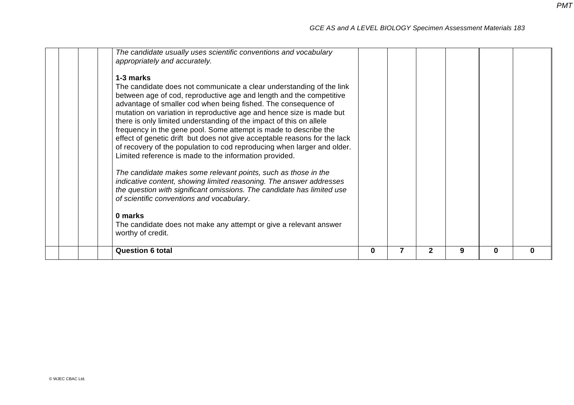| The candidate usually uses scientific conventions and vocabulary<br>appropriately and accurately.<br>1-3 marks<br>The candidate does not communicate a clear understanding of the link<br>between age of cod, reproductive age and length and the competitive<br>advantage of smaller cod when being fished. The consequence of<br>mutation on variation in reproductive age and hence size is made but<br>there is only limited understanding of the impact of this on allele<br>frequency in the gene pool. Some attempt is made to describe the<br>effect of genetic drift but does not give acceptable reasons for the lack<br>of recovery of the population to cod reproducing when larger and older.<br>Limited reference is made to the information provided.<br>The candidate makes some relevant points, such as those in the<br>indicative content, showing limited reasoning. The answer addresses<br>the question with significant omissions. The candidate has limited use<br>of scientific conventions and vocabulary.<br>0 marks<br>The candidate does not make any attempt or give a relevant answer<br>worthy of credit. | <b>Question 6 total</b> | 0 | 7 | $\mathbf 2$ | 9 | 0 | $\Omega$ |
|-------------------------------------------------------------------------------------------------------------------------------------------------------------------------------------------------------------------------------------------------------------------------------------------------------------------------------------------------------------------------------------------------------------------------------------------------------------------------------------------------------------------------------------------------------------------------------------------------------------------------------------------------------------------------------------------------------------------------------------------------------------------------------------------------------------------------------------------------------------------------------------------------------------------------------------------------------------------------------------------------------------------------------------------------------------------------------------------------------------------------------------------|-------------------------|---|---|-------------|---|---|----------|
|                                                                                                                                                                                                                                                                                                                                                                                                                                                                                                                                                                                                                                                                                                                                                                                                                                                                                                                                                                                                                                                                                                                                           |                         |   |   |             |   |   |          |
|                                                                                                                                                                                                                                                                                                                                                                                                                                                                                                                                                                                                                                                                                                                                                                                                                                                                                                                                                                                                                                                                                                                                           |                         |   |   |             |   |   |          |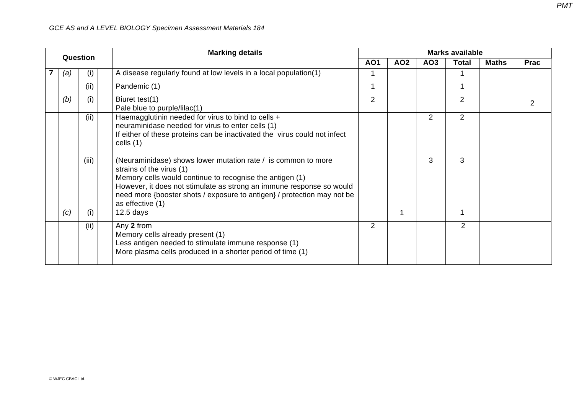| Question |       | <b>Marking details</b>                                                                                                                                                                                                                                                                                                       | <b>Marks available</b> |                 |                 |                |              |                |  |  |
|----------|-------|------------------------------------------------------------------------------------------------------------------------------------------------------------------------------------------------------------------------------------------------------------------------------------------------------------------------------|------------------------|-----------------|-----------------|----------------|--------------|----------------|--|--|
|          |       |                                                                                                                                                                                                                                                                                                                              | <b>AO1</b>             | AO <sub>2</sub> | AO <sub>3</sub> | <b>Total</b>   | <b>Maths</b> | <b>Prac</b>    |  |  |
| (a)      | (1)   | A disease regularly found at low levels in a local population(1)                                                                                                                                                                                                                                                             |                        |                 |                 |                |              |                |  |  |
|          | (ii)  | Pandemic (1)                                                                                                                                                                                                                                                                                                                 |                        |                 |                 |                |              |                |  |  |
| (b)      | (i)   | Biuret test(1)<br>Pale blue to purple/lilac(1)                                                                                                                                                                                                                                                                               | $\overline{2}$         |                 |                 | $\overline{2}$ |              | $\overline{2}$ |  |  |
|          | (ii)  | Haemagglutinin needed for virus to bind to cells +<br>neuraminidase needed for virus to enter cells (1)<br>If either of these proteins can be inactivated the virus could not infect<br>cells $(1)$                                                                                                                          |                        |                 | $\overline{2}$  | $\overline{2}$ |              |                |  |  |
|          | (iii) | (Neuraminidase) shows lower mutation rate / is common to more<br>strains of the virus (1)<br>Memory cells would continue to recognise the antigen (1)<br>However, it does not stimulate as strong an immune response so would<br>need more {booster shots / exposure to antigen} / protection may not be<br>as effective (1) |                        |                 | 3               | 3              |              |                |  |  |
| (c)      | (i)   | $12.5$ days                                                                                                                                                                                                                                                                                                                  |                        | 1               |                 |                |              |                |  |  |
|          | (ii)  | Any 2 from<br>Memory cells already present (1)<br>Less antigen needed to stimulate immune response (1)<br>More plasma cells produced in a shorter period of time (1)                                                                                                                                                         | 2                      |                 |                 | $\overline{2}$ |              |                |  |  |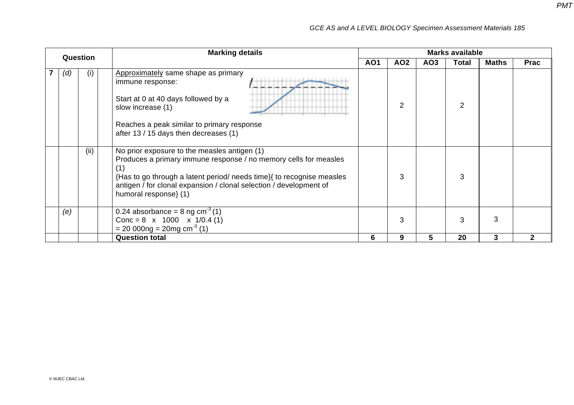| Question |     | <b>Marking details</b>                                                                                                                                                                                                                                                                   |                 |                 |                 | <b>Marks available</b> |              |             |
|----------|-----|------------------------------------------------------------------------------------------------------------------------------------------------------------------------------------------------------------------------------------------------------------------------------------------|-----------------|-----------------|-----------------|------------------------|--------------|-------------|
|          |     |                                                                                                                                                                                                                                                                                          | AO <sub>1</sub> | AO <sub>2</sub> | AO <sub>3</sub> | <b>Total</b>           | <b>Maths</b> | <b>Prac</b> |
| (d)      | (i) | Approximately same shape as primary<br>immune response:<br>Start at 0 at 40 days followed by a<br>slow increase (1)<br>Reaches a peak similar to primary response<br>after 13 / 15 days then decreases (1)                                                                               |                 | $\overline{2}$  |                 | 2                      |              |             |
|          | (i) | No prior exposure to the measles antigen (1)<br>Produces a primary immune response / no memory cells for measles<br>{Has to go through a latent period/ needs time}{ to recognise measles<br>antigen / for clonal expansion / clonal selection / development of<br>humoral response} (1) |                 | 3               |                 | 3                      |              |             |
| (e)      |     | 0.24 absorbance = $8 \text{ ng cm}^{-3}$ (1)<br>Conc = $8 \times 1000 \times 1/0.4$ (1)<br>$= 200000 \text{ kg} = 20 \text{mg cm}^{3}$ (1)                                                                                                                                               |                 | 3               |                 | 3                      | 3            |             |
|          |     | <b>Question total</b>                                                                                                                                                                                                                                                                    | 6               | 9               | 5               | 20                     | 3            | 2           |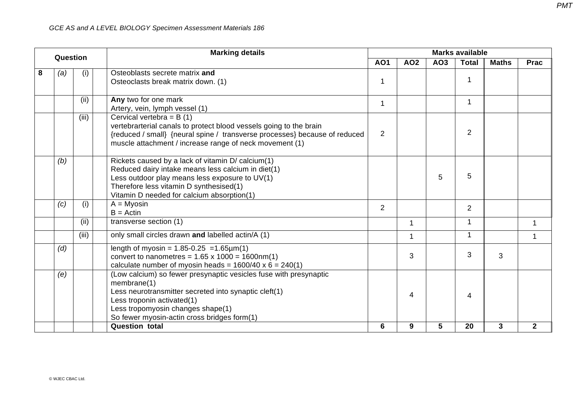|   | Question |       | <b>Marking details</b>                                                                                                                                                                                                                                      | <b>Marks available</b> |             |     |                |              |              |  |  |
|---|----------|-------|-------------------------------------------------------------------------------------------------------------------------------------------------------------------------------------------------------------------------------------------------------------|------------------------|-------------|-----|----------------|--------------|--------------|--|--|
|   |          |       |                                                                                                                                                                                                                                                             | <b>AO1</b>             | <b>AO2</b>  | AO3 | <b>Total</b>   | <b>Maths</b> | <b>Prac</b>  |  |  |
| 8 | (a)      | (i)   | Osteoblasts secrete matrix and<br>Osteoclasts break matrix down. (1)                                                                                                                                                                                        | 1                      |             |     |                |              |              |  |  |
|   |          | (ii)  | Any two for one mark<br>Artery, vein, lymph vessel (1)                                                                                                                                                                                                      | 1                      |             |     | $\mathbf 1$    |              |              |  |  |
|   |          | (iii) | Cervical vertebra = $B(1)$<br>vertebrarterial canals to protect blood vessels going to the brain<br>{reduced / small} {neural spine / transverse processes} because of reduced<br>muscle attachment / increase range of neck movement (1)                   | $\overline{2}$         |             |     | $\overline{2}$ |              |              |  |  |
|   | (b)      |       | Rickets caused by a lack of vitamin D/ calcium(1)<br>Reduced dairy intake means less calcium in diet(1)<br>Less outdoor play means less exposure to UV(1)<br>Therefore less vitamin D synthesised(1)<br>Vitamin D needed for calcium absorption(1)          |                        |             | 5   | 5              |              |              |  |  |
|   | (c)      | (i)   | $A = Myosin$<br>$B = Actin$                                                                                                                                                                                                                                 | $\overline{2}$         |             |     | $\overline{2}$ |              |              |  |  |
|   |          | (ii)  | transverse section (1)                                                                                                                                                                                                                                      |                        | 1           |     | 1              |              | 1            |  |  |
|   |          | (iii) | only small circles drawn and labelled actin/A (1)                                                                                                                                                                                                           |                        | $\mathbf 1$ |     |                |              | 1            |  |  |
|   | (d)      |       | length of myosin = $1.85 - 0.25$ = 1.65 $\mu$ m(1)<br>convert to nanometres = $1.65 \times 1000 = 1600 \text{nm}(1)$<br>calculate number of myosin heads = $1600/40 \times 6 = 240(1)$                                                                      |                        | 3           |     | 3              | 3            |              |  |  |
|   | (e)      |       | (Low calcium) so fewer presynaptic vesicles fuse with presynaptic<br>membrane(1)<br>Less neurotransmitter secreted into synaptic cleft(1)<br>Less troponin activated(1)<br>Less tropomyosin changes shape(1)<br>So fewer myosin-actin cross bridges form(1) |                        | 4           |     | 4              |              |              |  |  |
|   |          |       | <b>Question total</b>                                                                                                                                                                                                                                       | 6                      | 9           | 5   | 20             | $\mathbf{3}$ | $\mathbf{2}$ |  |  |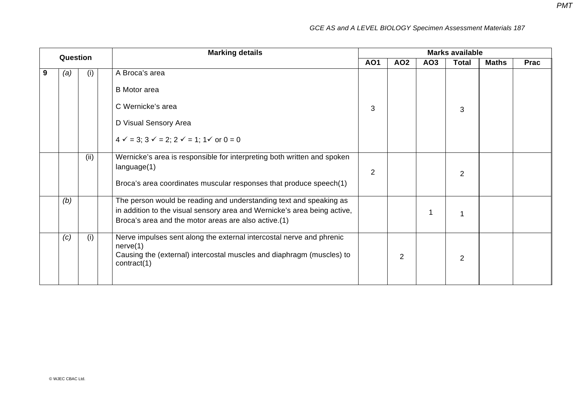| <b>Question</b> |     |      | <b>Marking details</b>                                                                                                                                                                                 | <b>Marks available</b> |                 |                 |                |              |             |  |
|-----------------|-----|------|--------------------------------------------------------------------------------------------------------------------------------------------------------------------------------------------------------|------------------------|-----------------|-----------------|----------------|--------------|-------------|--|
|                 |     |      |                                                                                                                                                                                                        | <b>AO1</b>             | AO <sub>2</sub> | AO <sub>3</sub> | <b>Total</b>   | <b>Maths</b> | <b>Prac</b> |  |
| 9               | (a) | (i)  | A Broca's area                                                                                                                                                                                         |                        |                 |                 |                |              |             |  |
|                 |     |      | <b>B</b> Motor area                                                                                                                                                                                    |                        |                 |                 |                |              |             |  |
|                 |     |      | C Wernicke's area                                                                                                                                                                                      | 3                      |                 |                 | 3              |              |             |  |
|                 |     |      | D Visual Sensory Area                                                                                                                                                                                  |                        |                 |                 |                |              |             |  |
|                 |     |      | $4 \checkmark = 3$ ; $3 \checkmark = 2$ ; $2 \checkmark = 1$ ; $1 \checkmark$ or $0 = 0$                                                                                                               |                        |                 |                 |                |              |             |  |
|                 |     | (ii) | Wernicke's area is responsible for interpreting both written and spoken<br>language(1)                                                                                                                 | $\overline{2}$         |                 |                 | 2              |              |             |  |
|                 |     |      | Broca's area coordinates muscular responses that produce speech(1)                                                                                                                                     |                        |                 |                 |                |              |             |  |
|                 | (b) |      | The person would be reading and understanding text and speaking as<br>in addition to the visual sensory area and Wernicke's area being active,<br>Broca's area and the motor areas are also active.(1) |                        |                 |                 |                |              |             |  |
|                 | (c) | (i)  | Nerve impulses sent along the external intercostal nerve and phrenic<br>nerve(1)<br>Causing the (external) intercostal muscles and diaphragm (muscles) to<br>contract(1)                               |                        | 2               |                 | $\overline{2}$ |              |             |  |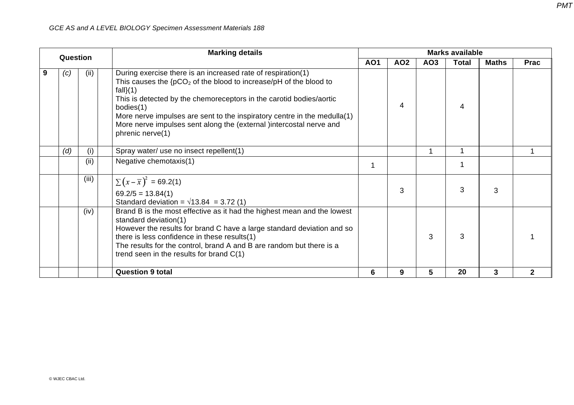| Question |             |       | <b>Marking details</b>                                                                                                                                                                                                                                                                                                                                                                                         | <b>Marks available</b> |                 |                 |              |              |              |  |
|----------|-------------|-------|----------------------------------------------------------------------------------------------------------------------------------------------------------------------------------------------------------------------------------------------------------------------------------------------------------------------------------------------------------------------------------------------------------------|------------------------|-----------------|-----------------|--------------|--------------|--------------|--|
|          |             |       |                                                                                                                                                                                                                                                                                                                                                                                                                | <b>AO1</b>             | AO <sub>2</sub> | AO <sub>3</sub> | <b>Total</b> | <b>Maths</b> | <b>Prac</b>  |  |
| 9        | (ii)<br>(c) |       | During exercise there is an increased rate of respiration(1)<br>This causes the ${pCO_2}$ of the blood to increase/pH of the blood to<br>$fall}(1)$<br>This is detected by the chemoreceptors in the carotid bodies/aortic<br>bodies(1)<br>More nerve impulses are sent to the inspiratory centre in the medulla(1)<br>More nerve impulses sent along the (external )intercostal nerve and<br>phrenic nerve(1) |                        | 4               |                 | 4            |              |              |  |
|          | (d)         | (i)   | Spray water/ use no insect repellent(1)                                                                                                                                                                                                                                                                                                                                                                        |                        |                 |                 | 1            |              |              |  |
|          |             | (ii)  | Negative chemotaxis(1)                                                                                                                                                                                                                                                                                                                                                                                         | 1                      |                 |                 | 1            |              |              |  |
|          |             | (iii) | $\sum (x - \overline{x})^2 = 69.2(1)$<br>$69.2/5 = 13.84(1)$<br>Standard deviation = $\sqrt{13.84}$ = 3.72 (1)                                                                                                                                                                                                                                                                                                 |                        | 3               |                 | 3            | 3            |              |  |
|          |             | (iv)  | Brand B is the most effective as it had the highest mean and the lowest<br>standard deviation(1)<br>However the results for brand C have a large standard deviation and so<br>there is less confidence in these results(1)<br>The results for the control, brand A and B are random but there is a<br>trend seen in the results for brand C(1)                                                                 |                        |                 | 3               | 3            |              |              |  |
|          |             |       | <b>Question 9 total</b>                                                                                                                                                                                                                                                                                                                                                                                        | 6                      | 9               | 5               | 20           | 3            | $\mathbf{2}$ |  |